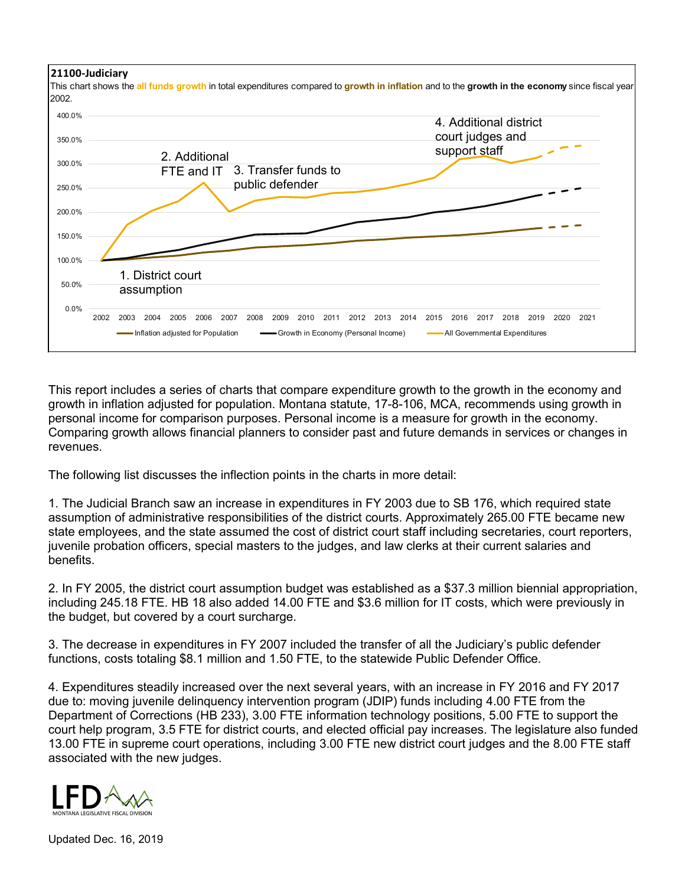

This report includes a series of charts that compare expenditure growth to the growth in the economy and growth in inflation adjusted for population. Montana statute, 17-8-106, MCA, recommends using growth in personal income for comparison purposes. Personal income is a measure for growth in the economy. Comparing growth allows financial planners to consider past and future demands in services or changes in revenues.

The following list discusses the inflection points in the charts in more detail:

1. The Judicial Branch saw an increase in expenditures in FY 2003 due to SB 176, which required state assumption of administrative responsibilities of the district courts. Approximately 265.00 FTE became new state employees, and the state assumed the cost of district court staff including secretaries, court reporters, juvenile probation officers, special masters to the judges, and law clerks at their current salaries and benefits.

2. In FY 2005, the district court assumption budget was established as a \$37.3 million biennial appropriation, including 245.18 FTE. HB 18 also added 14.00 FTE and \$3.6 million for IT costs, which were previously in the budget, but covered by a court surcharge.

3. The decrease in expenditures in FY 2007 included the transfer of all the Judiciary's public defender functions, costs totaling \$8.1 million and 1.50 FTE, to the statewide Public Defender Office.

4. Expenditures steadily increased over the next several years, with an increase in FY 2016 and FY 2017 due to: moving juvenile delinquency intervention program (JDIP) funds including 4.00 FTE from the Department of Corrections (HB 233), 3.00 FTE information technology positions, 5.00 FTE to support the court help program, 3.5 FTE for district courts, and elected official pay increases. The legislature also funded 13.00 FTE in supreme court operations, including 3.00 FTE new district court judges and the 8.00 FTE staff associated with the new judges.



Updated Dec. 16, 2019